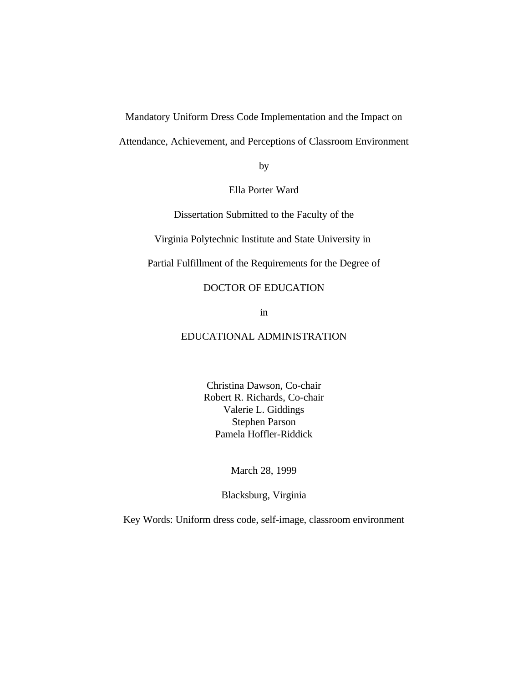Mandatory Uniform Dress Code Implementation and the Impact on

Attendance, Achievement, and Perceptions of Classroom Environment

by

Ella Porter Ward

Dissertation Submitted to the Faculty of the

Virginia Polytechnic Institute and State University in

Partial Fulfillment of the Requirements for the Degree of

### DOCTOR OF EDUCATION

in

## EDUCATIONAL ADMINISTRATION

Christina Dawson, Co-chair Robert R. Richards, Co-chair Valerie L. Giddings Stephen Parson Pamela Hoffler-Riddick

March 28, 1999

Blacksburg, Virginia

Key Words: Uniform dress code, self-image, classroom environment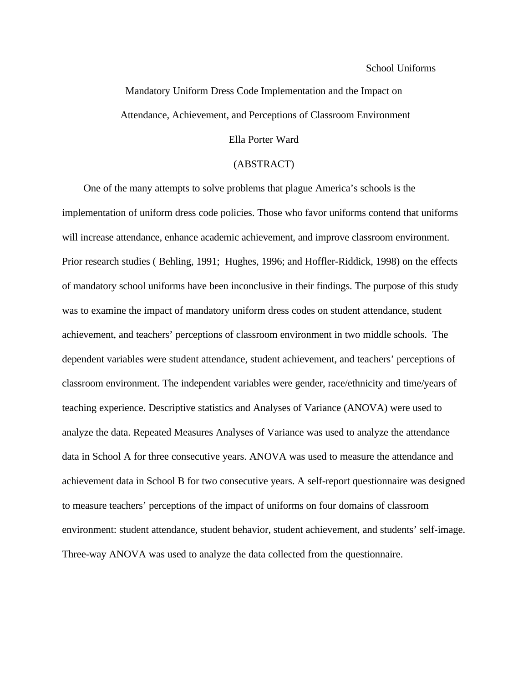#### School Uniforms

# Mandatory Uniform Dress Code Implementation and the Impact on Attendance, Achievement, and Perceptions of Classroom Environment

## Ella Porter Ward

#### (ABSTRACT)

 One of the many attempts to solve problems that plague America's schools is the implementation of uniform dress code policies. Those who favor uniforms contend that uniforms will increase attendance, enhance academic achievement, and improve classroom environment. Prior research studies ( Behling, 1991; Hughes, 1996; and Hoffler-Riddick, 1998) on the effects of mandatory school uniforms have been inconclusive in their findings. The purpose of this study was to examine the impact of mandatory uniform dress codes on student attendance, student achievement, and teachers' perceptions of classroom environment in two middle schools. The dependent variables were student attendance, student achievement, and teachers' perceptions of classroom environment. The independent variables were gender, race/ethnicity and time/years of teaching experience. Descriptive statistics and Analyses of Variance (ANOVA) were used to analyze the data. Repeated Measures Analyses of Variance was used to analyze the attendance data in School A for three consecutive years. ANOVA was used to measure the attendance and achievement data in School B for two consecutive years. A self-report questionnaire was designed to measure teachers' perceptions of the impact of uniforms on four domains of classroom environment: student attendance, student behavior, student achievement, and students' self-image. Three-way ANOVA was used to analyze the data collected from the questionnaire.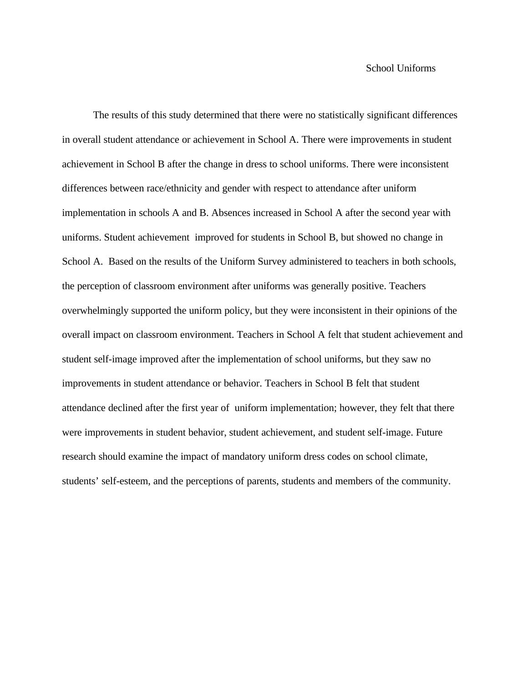The results of this study determined that there were no statistically significant differences in overall student attendance or achievement in School A. There were improvements in student achievement in School B after the change in dress to school uniforms. There were inconsistent differences between race/ethnicity and gender with respect to attendance after uniform implementation in schools A and B. Absences increased in School A after the second year with uniforms. Student achievement improved for students in School B, but showed no change in School A. Based on the results of the Uniform Survey administered to teachers in both schools, the perception of classroom environment after uniforms was generally positive. Teachers overwhelmingly supported the uniform policy, but they were inconsistent in their opinions of the overall impact on classroom environment. Teachers in School A felt that student achievement and student self-image improved after the implementation of school uniforms, but they saw no improvements in student attendance or behavior. Teachers in School B felt that student attendance declined after the first year of uniform implementation; however, they felt that there were improvements in student behavior, student achievement, and student self-image. Future research should examine the impact of mandatory uniform dress codes on school climate, students' self-esteem, and the perceptions of parents, students and members of the community.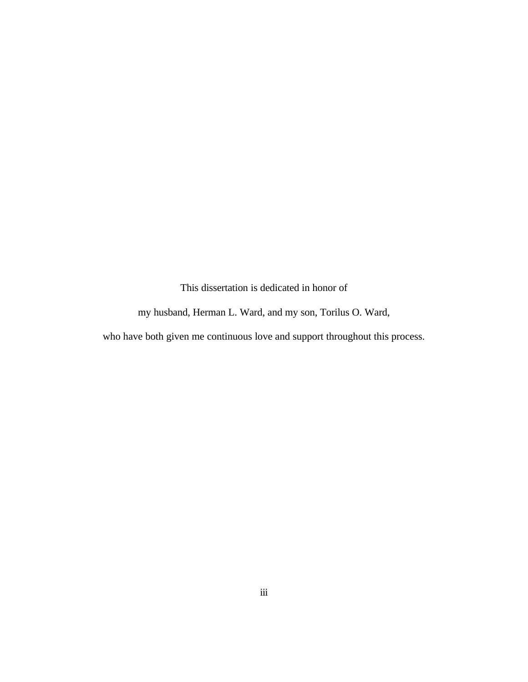This dissertation is dedicated in honor of

my husband, Herman L. Ward, and my son, Torilus O. Ward,

who have both given me continuous love and support throughout this process.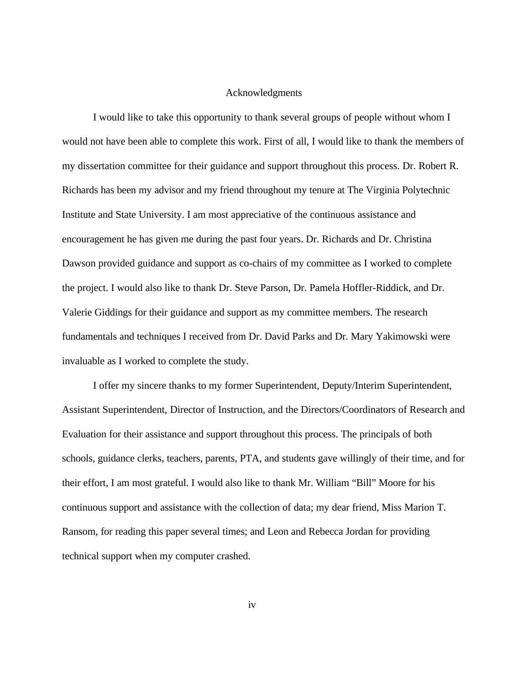#### Acknowledgments

I would like to take this opportunity to thank several groups of people without whom I would not have been able to complete this work. First of all, I would like to thank the members of my dissertation committee for their guidance and support throughout this process. Dr. Robert R. Richards has been my advisor and my friend throughout my tenure at The Virginia Polytechnic Institute and State University. I am most appreciative of the continuous assistance and encouragement he has given me during the past four years. Dr. Richards and Dr. Christina Dawson provided guidance and support as co-chairs of my committee as I worked to complete the project. I would also like to thank Dr. Steve Parson, Dr. Pamela Hoffler-Riddick, and Dr. Valerie Giddings for their guidance and support as my committee members. The research fundamentals and techniques I received from Dr. David Parks and Dr. Mary Yakimowski were invaluable as I worked to complete the study.

I offer my sincere thanks to my former Superintendent, Deputy/Interim Superintendent, Assistant Superintendent, Director of Instruction, and the Directors/Coordinators of Research and Evaluation for their assistance and support throughout this process. The principals of both schools, guidance clerks, teachers, parents, PTA, and students gave willingly of their time, and for their effort, I am most grateful. I would also like to thank Mr. William "Bill" Moore for his continuous support and assistance with the collection of data; my dear friend, Miss Marion T. Ransom, for reading this paper several times; and Leon and Rebecca Jordan for providing technical support when my computer crashed.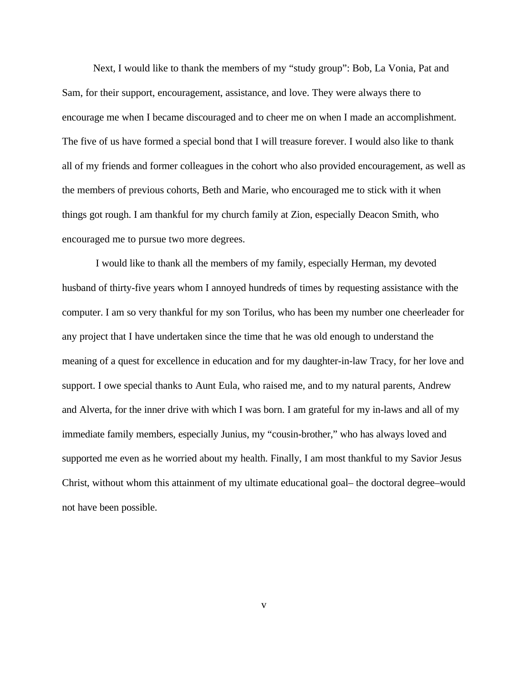Next, I would like to thank the members of my "study group": Bob, La Vonia, Pat and Sam, for their support, encouragement, assistance, and love. They were always there to encourage me when I became discouraged and to cheer me on when I made an accomplishment. The five of us have formed a special bond that I will treasure forever. I would also like to thank all of my friends and former colleagues in the cohort who also provided encouragement, as well as the members of previous cohorts, Beth and Marie, who encouraged me to stick with it when things got rough. I am thankful for my church family at Zion, especially Deacon Smith, who encouraged me to pursue two more degrees.

 I would like to thank all the members of my family, especially Herman, my devoted husband of thirty-five years whom I annoyed hundreds of times by requesting assistance with the computer. I am so very thankful for my son Torilus, who has been my number one cheerleader for any project that I have undertaken since the time that he was old enough to understand the meaning of a quest for excellence in education and for my daughter-in-law Tracy, for her love and support. I owe special thanks to Aunt Eula, who raised me, and to my natural parents, Andrew and Alverta, for the inner drive with which I was born. I am grateful for my in-laws and all of my immediate family members, especially Junius, my "cousin-brother," who has always loved and supported me even as he worried about my health. Finally, I am most thankful to my Savior Jesus Christ, without whom this attainment of my ultimate educational goal– the doctoral degree–would not have been possible.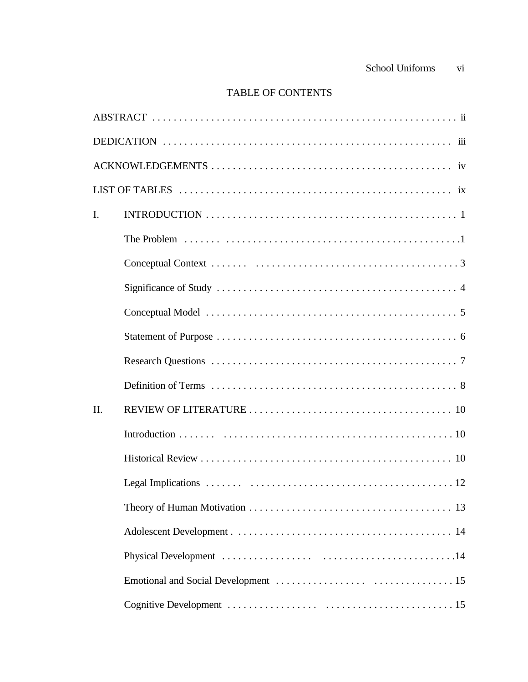# TABLE OF CONTENTS

| I.  |  |
|-----|--|
|     |  |
|     |  |
|     |  |
|     |  |
|     |  |
|     |  |
|     |  |
| II. |  |
|     |  |
|     |  |
|     |  |
|     |  |
|     |  |
|     |  |
|     |  |
|     |  |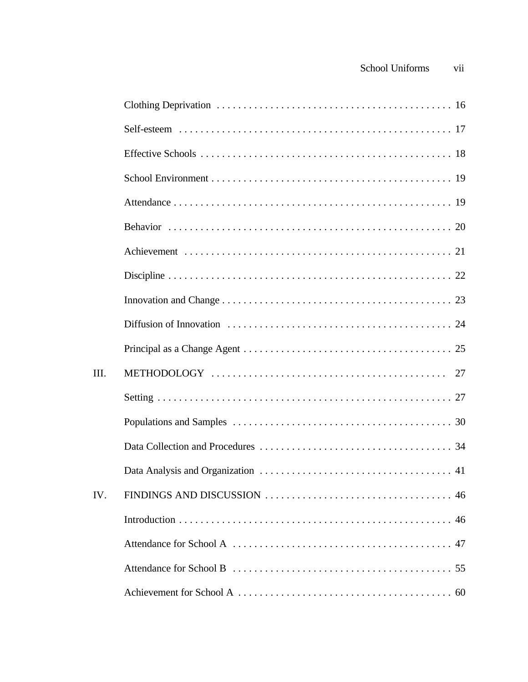| III. |  |
|------|--|
|      |  |
|      |  |
|      |  |
|      |  |
| IV.  |  |
|      |  |
|      |  |
|      |  |
|      |  |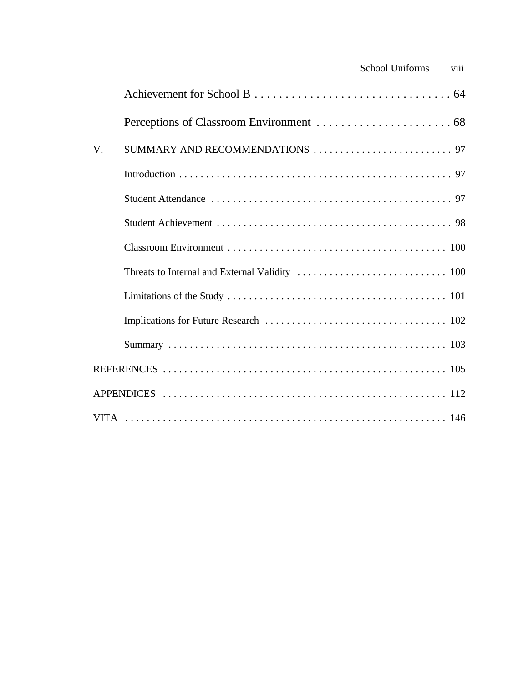|    | School Uniforms | viii |
|----|-----------------|------|
|    |                 |      |
|    |                 |      |
| V. |                 |      |
|    |                 |      |
|    |                 |      |
|    |                 |      |
|    |                 |      |
|    |                 |      |
|    |                 |      |
|    |                 |      |
|    |                 |      |
|    |                 |      |
|    |                 |      |
|    |                 |      |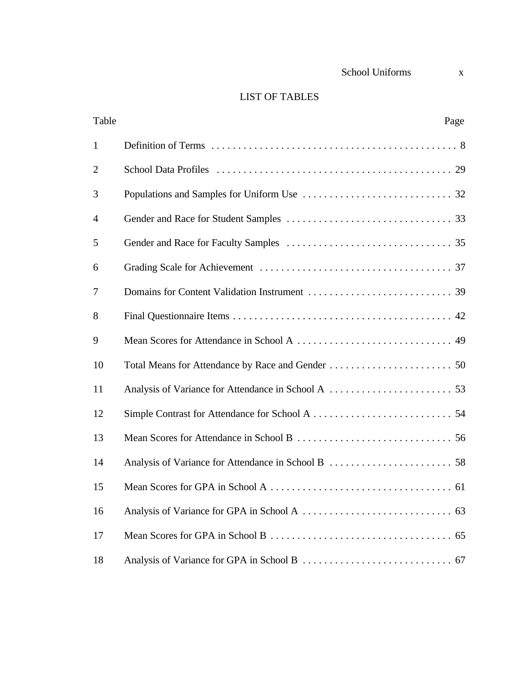| School Uniforms |  |
|-----------------|--|
|                 |  |

| Table          | Page |
|----------------|------|
| $\mathbf{1}$   |      |
| $\overline{2}$ |      |
| 3              |      |
| 4              |      |
| 5              |      |
| 6              |      |
| 7              |      |
| 8              |      |
| 9              |      |
| 10             |      |
| 11             |      |
| 12             |      |
| 13             |      |
| 14             |      |
| 15             |      |
| 16             | 63   |
| 17             | 65   |
| 18             |      |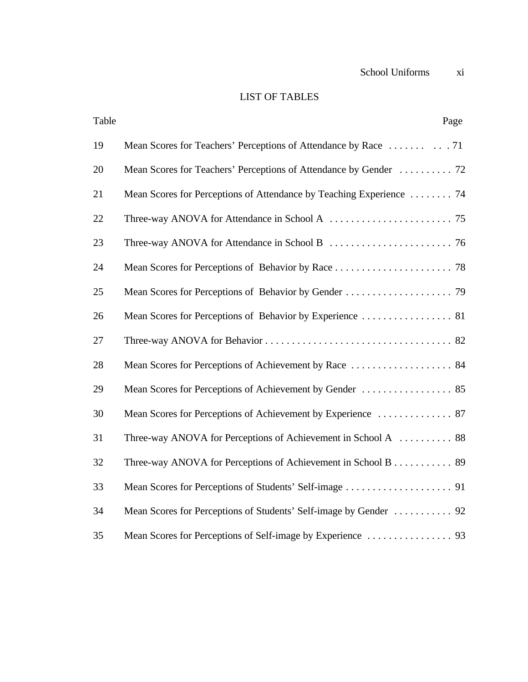# LIST OF TABLES

| Table | Page                                                                 |
|-------|----------------------------------------------------------------------|
| 19    |                                                                      |
| 20    |                                                                      |
| 21    | Mean Scores for Perceptions of Attendance by Teaching Experience  74 |
| 22    |                                                                      |
| 23    |                                                                      |
| 24    |                                                                      |
| 25    |                                                                      |
| 26    |                                                                      |
| 27    |                                                                      |
| 28    |                                                                      |
| 29    |                                                                      |
| 30    |                                                                      |
| 31    | Three-way ANOVA for Perceptions of Achievement in School A  88       |
| 32    | Three-way ANOVA for Perceptions of Achievement in School B 89        |
| 33    |                                                                      |
| 34    |                                                                      |
| 35    |                                                                      |